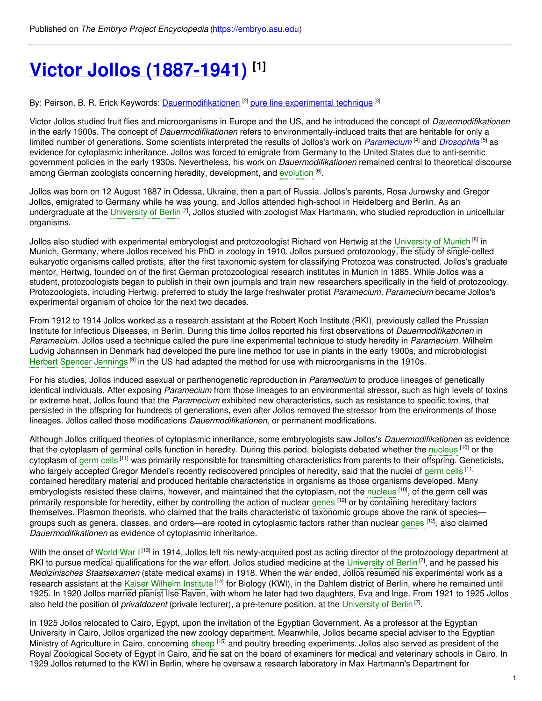# **Victor Jollos [\(1887-1941\)](https://embryo.asu.edu/pages/victor-jollos-1887-1941) [1]**

By: Peirson, B. R. Erick Keywords: <u>[Dauermodifikationen](https://embryo.asu.edu/keywords/dauermodifikationen)</u> <sup>[2]</sup> pure line [experimental](https://embryo.asu.edu/keywords/pure-line-experimental-technique) technique <sup>[3]</sup>

Victor Jollos studied fruit flies and microorganisms in Europe and the US, and he introduced the concept of *Dauermodifikationen* in the early 1900s. The concept of *Dauermodifikationen* refers to environmentally-induced traits that are heritable for only a limited number of generations. Some scientists interpreted the results of Jollos's work on *[Paramecium](http://eol.org/pages/61312/overview)* <sup>[4]</sup> and *[Drosophila](http://eol.org/pages/54522/overview)* <sup>[5]</sup> as evidence for cytoplasmic inheritance. Jollos was forced to emigrate from Germany to the United States due to anti-semitic government policies in the early 1930s. Nevertheless, his work on *Dauermodifikationen* remained central to theoretical discourse among German zoologists concerning heredity, development, and [evolution](https://embryo.asu.edu/search?text=evolution) <sup>[6]</sup>.

Jollos was born on 12 August 1887 in Odessa, Ukraine, then a part of Russia. Jollos's parents, Rosa Jurowsky and Gregor Jollos, emigrated to Germany while he was young, and Jollos attended high-school in Heidelberg and Berlin. As an undergraduate at the [University](https://embryo.asu.edu/search?text=University%20of%20Berlin) of Berlin<sup>[7]</sup>, Jollos studied with zoologist Max Hartmann, who studied reproduction in unicellular organisms.

Jollos also studied with experimental embryologist and protozoologist Richard von Hertwig at the [University](https://embryo.asu.edu/search?text=University%20of%20Munich) of Munich <sup>[8]</sup> in Munich, Germany, where Jollos received his PhD in zoology in 1910. Jollos pursued protozoology, the study of single-celled eukaryotic organisms called protists, after the first taxonomic system for classifying Protozoa was constructed. Jollos's graduate mentor, Hertwig, founded on of the first German protozoological research institutes in Munich in 1885. While Jollos was a student, protozoologists began to publish in their own journals and train new researchers specifically in the field of protozoology. Protozoologists, including Hertwig, preferred to study the large freshwater protist *Paramecium*. *Paramecium* became Jollos's experimental organism of choice for the next two decades.

From 1912 to 1914 Jollos worked as a research assistant at the Robert Koch Institute (RKI), previously called the Prussian Institute for Infectious Diseases, in Berlin. During this time Jollos reported his first observations of *Dauermodifikationen* in *Paramecium*. Jollos used a technique called the pure line experimental technique to study heredity in *Paramecium*. Wilhelm Ludvig Johannsen in Denmark had developed the pure line method for use in plants in the early 1900s, and microbiologist Herbert Spencer [Jennings](https://embryo.asu.edu/search?text=Herbert%20Spencer%20Jennings)<sup>[9]</sup> in the US had adapted the method for use with microorganisms in the 1910s.

For his studies, Jollos induced asexual or parthenogenetic reproduction in *Paramecium* to produce lineages of genetically identical individuals. After exposing *Paramecium* from those lineages to an environmental stressor, such as high levels of toxins or extreme heat, Jollos found that the *Paramecium* exhibited new characteristics, such as resistance to specific toxins, that persisted in the offspring for hundreds of generations, even after Jollos removed the stressor from the environments of those lineages. Jollos called those modifications *Dauermodifikationen*, or permanent modifications.

Although Jollos critiqued theories of cytoplasmic inheritance, some embryologists saw Jollos's *Dauermodifikationen* as evidence that the cytoplasm of germinal cells function in heredity. During this period, biologists debated whether the [nucleus](https://embryo.asu.edu/search?text=nucleus) <sup>[10]</sup> or the cytoplasm of [germ](https://embryo.asu.edu/search?text=germ%20cells) cells <sup>[11]</sup> was primarily responsible for transmitting characteristics from parents to their offspring. Geneticists, who largely accepted Gregor Mendel's recently rediscovered principles of heredity, said that the nuclei of [germ](https://embryo.asu.edu/search?text=germ%20cells) cells <sup>[11]</sup> contained hereditary material and produced heritable characteristics in organisms as those organisms developed. Many embryologists resisted these claims, however, and maintained that the cytoplasm, not the [nucleus](https://embryo.asu.edu/search?text=nucleus) <sup>[10]</sup>, of the germ cell was primarily responsible for heredity, either by controlling the action of nuclear [genes](https://embryo.asu.edu/search?text=genes) <sup>[12]</sup> or by containing hereditary factors themselves. Plasmon theorists, who claimed that the traits characteristic of taxonomic groups above the rank of species groups such as genera, classes, and orders—are rooted in cytoplasmic factors rather than nuclear [genes](https://embryo.asu.edu/search?text=genes) <sup>[12]</sup>, also claimed *Dauermodifikationen* as evidence of cytoplasmic inheritance.

With the onset of [World](https://embryo.asu.edu/search?text=World%20War%20I) War I<sup>[13]</sup> in 1914, Jollos left his newly-acquired post as acting director of the protozoology department at RKI to pursue medical qualifications for the war effort. Jollos studied medicine at the [University](https://embryo.asu.edu/search?text=University%20of%20Berlin) of Berlin<sup>[7]</sup>, and he passed his *Medizinisches Staatsexamen* (state medical exams) in 1918. When the war ended, Jollos resumed his experimental work as a research assistant at the Kaiser [Wilhelm](https://embryo.asu.edu/search?text=Kaiser%20Wilhelm%20Institute) Institute [14] for Biology (KWI), in the Dahlem district of Berlin, where he remained until 1925. In 1920 Jollos married pianist Ilse Raven, with whom he later had two daughters, Eva and Inge. From 1921 to 1925 Jollos also held the position of *privatdozent* (private lecturer), a pre-tenure position, at the [University](https://embryo.asu.edu/search?text=University%20of%20Berlin) of Berlin<sup>[7]</sup>.

In 1925 Jollos relocated to Cairo, Egypt, upon the invitation of the Egyptian Government. As a professor at the Egyptian University in Cairo, Jollos organized the new zoology department. Meanwhile, Jollos became special adviser to the Egyptian Ministry of Agriculture in Cairo, concerning [sheep](https://embryo.asu.edu/search?text=sheep) <sup>[15]</sup> and poultry breeding experiments. Jollos also served as president of the Royal Zoological Society of Egypt in Cairo, and he sat on the board of examiners for medical and veterinary schools in Cairo. In 1929 Jollos returned to the KWI in Berlin, where he oversaw a research laboratory in Max Hartmann's Department for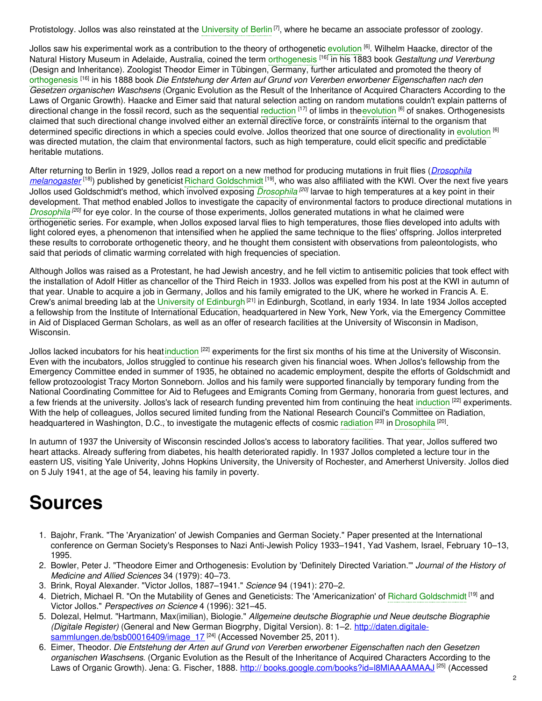Protistology. Jollos was also reinstated at the [University](https://embryo.asu.edu/search?text=University%20of%20Berlin) of Berlin<sup>[7]</sup>, where he became an associate professor of zoology.

Jollos saw his experimental work as a contribution to the theory of orthogenetic [evolution](https://embryo.asu.edu/search?text=evolution) <sup>[6]</sup>. Wilhelm Haacke, director of the Natural History Museum in Adelaide, Australia, coined the term [orthogenesis](https://embryo.asu.edu/search?text=orthogenesis) [16] in his 1883 book *Gestaltung und Vererbung* (Design and Inheritance). Zoologist Theodor Eimer in Tübingen, Germany, further articulated and promoted the theory of [orthogenesis](https://embryo.asu.edu/search?text=orthogenesis) [16] in his 1888 book *Die Entstehung der Arten auf Grund von Vererben erworbener Eigenschaften nach den Gesetzen organischen Waschsens* (Organic Evolution as the Result of the Inheritance of Acquired Characters According to the Laws of Organic Growth). Haacke and Eimer said that natural selection acting on random mutations couldn't explain patterns of directional change in the fossil record, such as the sequential [reduction](https://embryo.asu.edu/search?text=reduction) [17] of limbs in the[evolution](https://embryo.asu.edu/search?text=evolution) [6] of snakes. Orthogenesists claimed that such directional change involved either an external directive force, or constraints internal to the organism that determined specific directions in which a species could evolve. Jollos theorized that one source of directionality in [evolution](https://embryo.asu.edu/search?text=evolution) <sup>[6]</sup> was directed mutation, the claim that environmental factors, such as high temperature, could elicit specific and predictable heritable mutations.

After returning to Berlin in 1929, Jollos read a report on a new method for producing mutations in fruit flies (*Drosophila [melanogaster](http://eol.org/pages/733739/overview)* <sup>[18]</sup>) published by geneticist Richard [Goldschmidt](https://embryo.asu.edu/search?text=Richard%20Goldschmidt) <sup>[19]</sup>, who was also affiliated with the KWI. Over the next five years Jollos used Goldschmidt's method, which involved exposing *[Drosophila](https://embryo.asu.edu/search?text=Drosophila) [20]* larvae to high temperatures at a key point in their development. That method enabled Jollos to investigate the capacity of environmental factors to produce directional mutations in *[Drosophila](https://embryo.asu.edu/search?text=Drosophila)<sup>[20]</sup>* for eye color. In the course of those experiments, Jollos generated mutations in what he claimed were orthogenetic series. For example, when Jollos exposed larval flies to high temperatures, those flies developed into adults with light colored eyes, a phenomenon that intensified when he applied the same technique to the flies' offspring. Jollos interpreted these results to corroborate orthogenetic theory, and he thought them consistent with observations from paleontologists, who said that periods of climatic warming correlated with high frequencies of speciation.

Although Jollos was raised as a Protestant, he had Jewish ancestry, and he fell victim to antisemitic policies that took effect with the installation of Adolf Hitler as chancellor of the Third Reich in 1933. Jollos was expelled from his post at the KWI in autumn of that year. Unable to acquire a job in Germany, Jollos and his family emigrated to the UK, where he worked in Francis A. E. Crew's animal breeding lab at the University of [Edinburgh](https://embryo.asu.edu/search?text=University%20of%20Edinburgh)<sup>[21]</sup> in Edinburgh, Scotland, in early 1934. In late 1934 Jollos accepted a fellowship from the Institute of International Education, headquartered in New York, New York, via the Emergency Committee in Aid of Displaced German Scholars, as well as an offer of research facilities at the University of Wisconsin in Madison, Wisconsin.

Jollos lacked incubators for his heat[induction](https://embryo.asu.edu/search?text=induction) <sup>[22]</sup> experiments for the first six months of his time at the University of Wisconsin. Even with the incubators, Jollos struggled to continue his research given his financial woes. When Jollos's fellowship from the Emergency Committee ended in summer of 1935, he obtained no academic employment, despite the efforts of Goldschmidt and fellow protozoologist Tracy Morton Sonneborn. Jollos and his family were supported financially by temporary funding from the National Coordinating Committee for Aid to Refugees and Emigrants Coming from Germany, honoraria from guest lectures, and a few friends at the university. Jollos's lack of research funding prevented him from continuing the heat [induction](https://embryo.asu.edu/search?text=induction) <sup>[22]</sup> experiments. With the help of colleagues, Jollos secured limited funding from the National Research Council's Committee on Radiation, headquartered in Washington, D.C., to investigate the mutagenic effects of cosmic [radiation](https://embryo.asu.edu/search?text=radiation) <sup>[23]</sup> in [Drosophila](https://embryo.asu.edu/search?text=Drosophila) <sup>[20]</sup>.

In autumn of 1937 the University of Wisconsin rescinded Jollos's access to laboratory facilities. That year, Jollos suffered two heart attacks. Already suffering from diabetes, his health deteriorated rapidly. In 1937 Jollos completed a lecture tour in the eastern US, visiting Yale Univerity, Johns Hopkins University, the University of Rochester, and Amerherst University. Jollos died on 5 July 1941, at the age of 54, leaving his family in poverty.

## **Sources**

- 1. Bajohr, Frank. "The 'Aryanization' of Jewish Companies and German Society." Paper presented at the International conference on German Society's Responses to Nazi Anti-Jewish Policy 1933–1941, Yad Vashem, Israel, February 10–13, 1995.
- 2. Bowler, Peter J. "Theodore Eimer and Orthogenesis: Evolution by 'Definitely Directed Variation.'" *Journal of the History of Medicine and Allied Sciences* 34 (1979): 40–73.
- 3. Brink, Royal Alexander. "Victor Jollos, 1887–1941." *Science* 94 (1941): 270–2.
- 4. Dietrich, Michael R. "On the Mutability of Genes and Geneticists: The 'Americanization' of Richard [Goldschmidt](https://embryo.asu.edu/search?text=Richard%20Goldschmidt) <sup>[19]</sup> and Victor Jollos." *Perspectives on Science* 4 (1996): 321–45.
- 5. Dolezal, Helmut. "Hartmann, Max(imilian), Biologie." *Allgemeine deutsche Biographie und Neue deutsche Biographie (Digitale Register)* (General and New German Biogrphy, Digital Version). 8: 1–2. http://daten.digitale[sammlungen.de/bsb00016409/image\\_17](http://daten.digitale-sammlungen.de/bsb00016409/image_17)<sup>[24]</sup> (Accessed November 25, 2011).
- 6. Eimer, Theodor. *Die Entstehung der Arten auf Grund von Vererben erworbener Eigenschaften nach den Gesetzen organischen Waschsens*. (Organic Evolution as the Result of the Inheritance of Acquired Characters According to the Laws of Organic Growth). Jena: G. Fischer, 1888. http:// books.google.com/books?id=l8MIAAAAMAAJ <sup>[25]</sup> (Accessed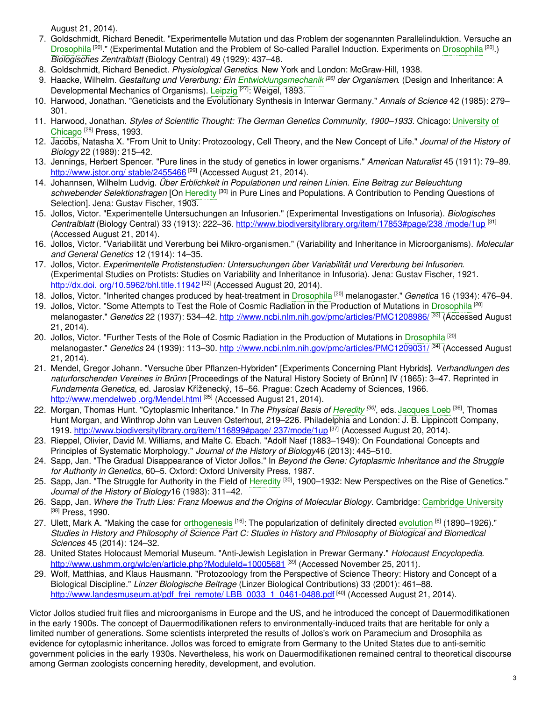August 21, 2014).

- 7. Goldschmidt, Richard Benedit. "Experimentelle Mutation und das Problem der sogenannten Parallelinduktion. Versuche an [Drosophila](https://embryo.asu.edu/search?text=Drosophila)<sup>[20]</sup>." (Experimental Mutation and the Problem of So-called Parallel Induction. Experiments on Drosophila<sup>[20]</sup>.) *Biologisches Zentralblatt* (Biology Central) 49 (1929): 437–48.
- 8. Goldschmidt, Richard Benedict. *Physiological Genetics*. New York and London: McGraw-Hill, 1938.
- 9. Haacke, Wilhelm. *Gestaltung und Vererbung: Ein [Entwicklungsmechanik](https://embryo.asu.edu/search?text=Entwicklungsmechanik) [26] der Organismen*. (Design and Inheritance: A Developmental Mechanics of Organisms). [Leipzig](https://embryo.asu.edu/search?text=Leipzig) <sup>[27]</sup>: Weigel, 1893.
- 10. Harwood, Jonathan. "Geneticists and the Evolutionary Synthesis in Interwar Germany." *Annals of Science* 42 (1985): 279– 301.
- 11. Harwood, Jonathan. *Styles of Scientific Thought: The German Genetics [Community,](https://embryo.asu.edu/search?text=University%20of%20Chicago) 1900–1933*. Chicago: University of Chicago<sup>[28]</sup> Press, 1993.
- 12. Jacobs, Natasha X. "From Unit to Unity: Protozoology, Cell Theory, and the New Concept of Life." *Journal of the History of Biology* 22 (1989): 215–42.
- 13. Jennings, Herbert Spencer. "Pure lines in the study of genetics in lower organisms." *American Naturalist* 45 (1911): 79–89. [http://www.jstor.org/](http://www.jstor.org/stable/2455466) stable/2455466<sup>[29]</sup> (Accessed August 21, 2014).
- 14. Johannsen, Wilhelm Ludvig. *Über Erblichkeit in Populationen und reinen Linien. Eine Beitrag zur Beleuchtung* schwebender Selektionsfragen [On [Heredity](https://embryo.asu.edu/search?text=Heredity) <sup>[30]</sup> in Pure Lines and Populations. A Contribution to Pending Questions of Selection]. Jena: Gustav Fischer, 1903.
- 15. Jollos, Victor. "Experimentelle Untersuchungen an Infusorien." (Experimental Investigations on Infusoria). *Biologisches Centralblatt* (Biology Central) 33 (1913): 222–36. [http://www.biodiversitylibrary.org/item/17853#page/238](http://www.biodiversitylibrary.org/item/17853#page/238/%0A%09%09mode/1up) /mode/1up [31] (Accessed August 21, 2014).
- 16. Jollos, Victor. "Variabilität und Vererbung bei Mikro-organismen." (Variability and Inheritance in Microorganisms). *Molecular and General Genetics* 12 (1914): 14–35.
- 17. Jollos, Victor. *Experimentelle Protistenstudien: Untersuchungen über Variabilität und Vererbung bei Infusorien*. (Experimental Studies on Protists: Studies on Variability and Inheritance in Infusoria). Jena: Gustav Fischer, 1921. http://dx.doi. [org/10.5962/bhl.title.11942](http://dx.doi.org/10.5962/bhl.title.11942) <sup>[32]</sup> (Accessed August 20, 2014).
- 18. Jollos, Victor. "Inherited changes produced by heat-treatment in [Drosophila](https://embryo.asu.edu/search?text=Drosophila) [20] melanogaster." *Genetica* 16 (1934): 476–94.
- 19. Jollos, Victor. "Some Attempts to Test the Role of Cosmic Radiation in the Production of Mutations in [Drosophila](https://embryo.asu.edu/search?text=Drosophila)<sup>[20]</sup> melanogaster." *Genetics* 22 (1937): 534–42. http [://www.ncbi.nlm.nih.gov/pmc/articles/PMC1208986/](http://www.ncbi.nlm.nih.gov/pmc/articles/PMC1208986/) [33] (Accessed August 21, 2014).
- 20. Jollos, Victor. "Further Tests of the Role of Cosmic Radiation in the Production of Mutations in [Drosophila](https://embryo.asu.edu/search?text=Drosophila) <sup>[20]</sup> melanogaster." *Genetics* 24 (1939): 113–30. http [://www.ncbi.nlm.nih.gov/pmc/articles/PMC1209031/](http://www.ncbi.nlm.nih.gov/pmc/articles/PMC1209031/) [34] (Accessed August 21, 2014).
- 21. Mendel, Gregor Johann. "Versuche über Pflanzen-Hybriden" [Experiments Concerning Plant Hybrids]. *Verhandlungen des naturforschenden Vereines in Brünn* [Proceedings of the Natural History Society of Brünn] IV (1865): 3–47. Reprinted in *Fundamenta Genetica*, ed. Jaroslav Kříženecký, 15–56. Prague: Czech Academy of Sciences, 1966. [http://www.mendelweb](http://www.mendelweb.org/Mendel.html) .org/Mendel.html <sup>[35]</sup> (Accessed August 21, 2014).
- 22. Morgan, Thomas Hunt. "Cytoplasmic Inheritance." In*The Physical Basis of [Heredity](https://embryo.asu.edu/search?text=Heredity) [30]* , eds. [Jacques](https://embryo.asu.edu/search?text=Jacques%20Loeb) Loeb [36] , Thomas Hunt Morgan, and Winthrop John van Leuven Osterhout, 219–226. Philadelphia and London: J. B. Lippincott Company, 1919. [http://www.biodiversitylibrary.org/item/116899#page/](http://www.biodiversitylibrary.org/item/116899#page/237/%0A%09%09mode/1up) 237/mode/1up <sup>[37]</sup> (Accessed August 20, 2014).
- 23. Rieppel, Olivier, David M. Williams, and Malte C. Ebach. "Adolf Naef (1883–1949): On Foundational Concepts and Principles of Systematic Morphology." *Journal of the History of Biology*46 (2013): 445–510.
- 24. Sapp, Jan. "The Gradual Disappearance of Victor Jollos." In *Beyond the Gene: Cytoplasmic Inheritance and the Struggle for Authority in Genetics*, 60–5. Oxford: Oxford University Press, 1987.
- 25. Sapp, Jan. "The Struggle for Authority in the Field of [Heredity](https://embryo.asu.edu/search?text=Heredity) <sup>[30]</sup>, 1900–1932: New Perspectives on the Rise of Genetics." *Journal of the History of Biology*16 (1983): 311–42.
- 26. Sapp, Jan. *Where the Truth Lies: Franz Moewus and the Origins of Molecular Biology*. Cambridge: [Cambridge](https://embryo.asu.edu/search?text=Cambridge%20University) University [38] Press, 1990.
- 27. Ulett, Mark A. "Making the case for [orthogenesis](https://embryo.asu.edu/search?text=orthogenesis) <sup>[16]</sup>: The popularization of definitely directed [evolution](https://embryo.asu.edu/search?text=evolution) <sup>[6]</sup> (1890–1926)." Studies in History and Philosophy of Science Part C: Studies in History and Philosophy of Biological and Biomedical *Sciences* 45 (2014): 124–32.
- 28. United States Holocaust Memorial Museum. "Anti-Jewish Legislation in Prewar Germany." *Holocaust Encyclopedia*. <http://www.ushmm.org/wlc/en/article.php?ModuleId=10005681> <sup>[39]</sup> (Accessed November 25, 2011).
- 29. Wolf, Matthias, and Klaus Hausmann. "Protozoology from the Perspective of Science Theory: History and Concept of a Biological Discipline." *Linzer Biologische Beitrage* (Linzer Biological Contributions) 33 (2001): 461–88. [http://www.landesmuseum.at/pdf\\_frei\\_remote/](http://www.landesmuseum.at/pdf_frei_remote/LBB_0033_1_0461%0A%09%09-0488.pdf) LBB\_0033\_1\_0461-0488.pdf <sup>[40]</sup> (Accessed August 21, 2014).

Victor Jollos studied fruit flies and microorganisms in Europe and the US, and he introduced the concept of Dauermodifikationen in the early 1900s. The concept of Dauermodifikationen refers to environmentally-induced traits that are heritable for only a limited number of generations. Some scientists interpreted the results of Jollos's work on Paramecium and Drosophila as evidence for cytoplasmic inheritance. Jollos was forced to emigrate from Germany to the United States due to anti-semitic government policies in the early 1930s. Nevertheless, his work on Dauermodifikationen remained central to theoretical discourse among German zoologists concerning heredity, development, and evolution.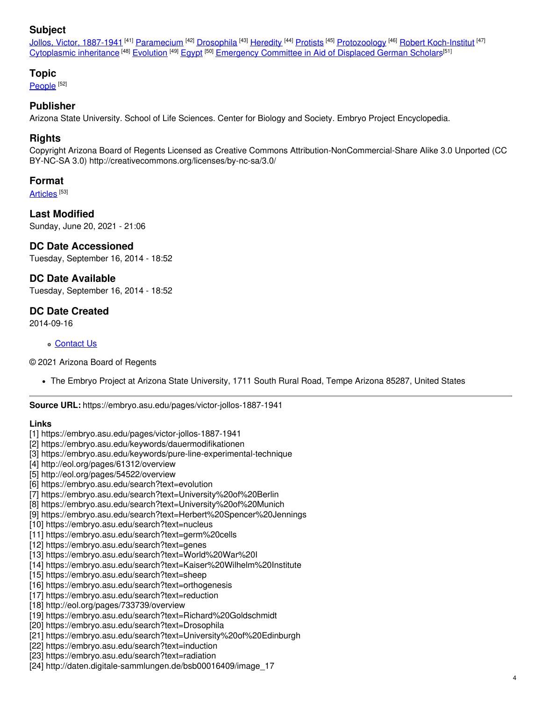### **Subject**

Jollos, Victor, [1887-1941](https://embryo.asu.edu/library-congress-subject-headings/jollos-victor-1887-1941) <sup>[41]</sup> [Paramecium](https://embryo.asu.edu/library-congress-subject-headings/paramecium) <sup>[42]</sup> [Drosophila](https://embryo.asu.edu/library-congress-subject-headings/drosophila) <sup>[43]</sup> [Heredity](https://embryo.asu.edu/library-congress-subject-headings/heredity) <sup>[44]</sup> [Protists](https://embryo.asu.edu/library-congress-subject-headings/protists) <sup>[45]</sup> [Protozoology](https://embryo.asu.edu/library-congress-subject-headings/protozoology) <sup>[46]</sup> Robert [Koch-Institut](https://embryo.asu.edu/library-congress-subject-headings/robert-koch-institut-0) <sup>[47]</sup> [Cytoplasmic](https://embryo.asu.edu/library-congress-subject-headings/cytoplasmic-inheritance-0) inheritance <sup>[48]</sup> [Evolution](https://embryo.asu.edu/library-congress-subject-headings/evolution) <sup>[49]</sup> [Egypt](https://embryo.asu.edu/library-congress-subject-headings/egypt) <sup>[50]</sup> [Emergency](https://embryo.asu.edu/library-congress-subject-headings/emergency-committee-aid-displaced-german-scholars) Committee in Aid of Displaced German Scholars<sup>[51]</sup>

#### **Topic**

[People](https://embryo.asu.edu/topics/people) <sup>[52]</sup>

#### **Publisher**

Arizona State University. School of Life Sciences. Center for Biology and Society. Embryo Project Encyclopedia.

#### **Rights**

Copyright Arizona Board of Regents Licensed as Creative Commons Attribution-NonCommercial-Share Alike 3.0 Unported (CC BY-NC-SA 3.0) http://creativecommons.org/licenses/by-nc-sa/3.0/

#### **Format**

[Articles](https://embryo.asu.edu/formats/articles) <sup>[53]</sup>

**Last Modified** Sunday, June 20, 2021 - 21:06

#### **DC Date Accessioned**

Tuesday, September 16, 2014 - 18:52

#### **DC Date Available**

Tuesday, September 16, 2014 - 18:52

#### **DC Date Created**

2014-09-16

#### [Contact](https://embryo.asu.edu/contact) Us

© 2021 Arizona Board of Regents

The Embryo Project at Arizona State University, 1711 South Rural Road, Tempe Arizona 85287, United States

**Source URL:** https://embryo.asu.edu/pages/victor-jollos-1887-1941

#### **Links**

- [1] https://embryo.asu.edu/pages/victor-jollos-1887-1941
- [2] https://embryo.asu.edu/keywords/dauermodifikationen
- [3] https://embryo.asu.edu/keywords/pure-line-experimental-technique
- [4] http://eol.org/pages/61312/overview
- [5] http://eol.org/pages/54522/overview
- [6] https://embryo.asu.edu/search?text=evolution
- [7] https://embryo.asu.edu/search?text=University%20of%20Berlin
- [8] https://embryo.asu.edu/search?text=University%20of%20Munich
- [9] https://embryo.asu.edu/search?text=Herbert%20Spencer%20Jennings
- [10] https://embryo.asu.edu/search?text=nucleus
- [11] https://embryo.asu.edu/search?text=germ%20cells
- [12] https://embryo.asu.edu/search?text=genes
- [13] https://embryo.asu.edu/search?text=World%20War%20I
- [14] https://embryo.asu.edu/search?text=Kaiser%20Wilhelm%20Institute
- [15] https://embryo.asu.edu/search?text=sheep
- [16] https://embryo.asu.edu/search?text=orthogenesis
- [17] https://embryo.asu.edu/search?text=reduction
- [18] http://eol.org/pages/733739/overview
- [19] https://embryo.asu.edu/search?text=Richard%20Goldschmidt
- [20] https://embryo.asu.edu/search?text=Drosophila
- [21] https://embryo.asu.edu/search?text=University%20of%20Edinburgh
- [22] https://embryo.asu.edu/search?text=induction
- [23] https://embryo.asu.edu/search?text=radiation
- [24] http://daten.digitale-sammlungen.de/bsb00016409/image\_17